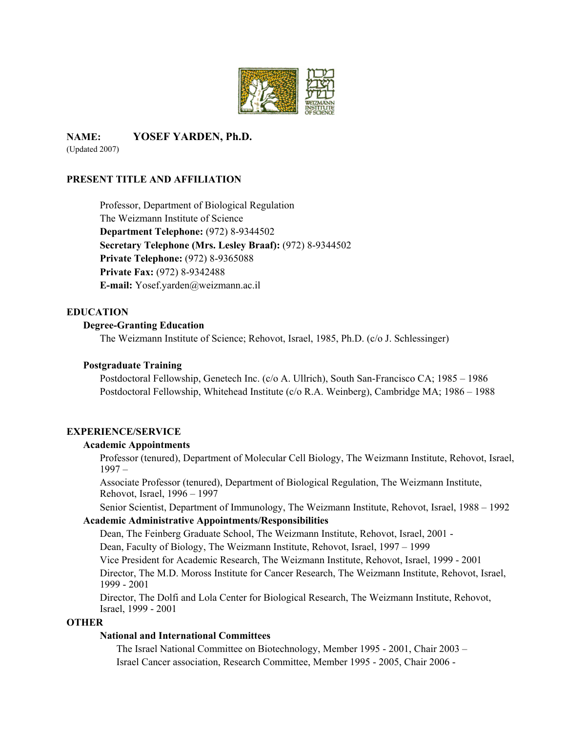

**NAME: YOSEF YARDEN, Ph.D.**  (Updated 2007)

## **PRESENT TITLE AND AFFILIATION**

Professor, Department of Biological Regulation The Weizmann Institute of Science  **Department Telephone:** (972) 8-9344502 **Secretary Telephone (Mrs. Lesley Braaf):** (972) 8-9344502 **Private Telephone:** (972) 8-9365088 **Private Fax:** (972) 8-9342488 **E-mail:** Yosef.yarden@weizmann.ac.il

## **EDUCATION**

### **Degree-Granting Education**

The Weizmann Institute of Science; Rehovot, Israel, 1985, Ph.D. (c/o J. Schlessinger)

### **Postgraduate Training**

Postdoctoral Fellowship, Genetech Inc. (c/o A. Ullrich), South San-Francisco CA; 1985 – 1986 Postdoctoral Fellowship, Whitehead Institute (c/o R.A. Weinberg), Cambridge MA; 1986 – 1988

## **EXPERIENCE/SERVICE**

#### **Academic Appointments**

Professor (tenured), Department of Molecular Cell Biology, The Weizmann Institute, Rehovot, Israel, 1997 –

 Associate Professor (tenured), Department of Biological Regulation, The Weizmann Institute, Rehovot, Israel, 1996 – 1997

Senior Scientist, Department of Immunology, The Weizmann Institute, Rehovot, Israel, 1988 – 1992

## **Academic Administrative Appointments/Responsibilities**

Dean, The Feinberg Graduate School, The Weizmann Institute, Rehovot, Israel, 2001 - Dean, Faculty of Biology, The Weizmann Institute, Rehovot, Israel, 1997 – 1999

Vice President for Academic Research, The Weizmann Institute, Rehovot, Israel, 1999 - 2001

 Director, The M.D. Moross Institute for Cancer Research, The Weizmann Institute, Rehovot, Israel, 1999 - 2001

 Director, The Dolfi and Lola Center for Biological Research, The Weizmann Institute, Rehovot, Israel, 1999 - 2001

### **OTHER**

## **National and International Committees**

 The Israel National Committee on Biotechnology, Member 1995 - 2001, Chair 2003 – Israel Cancer association, Research Committee, Member 1995 - 2005, Chair 2006 -